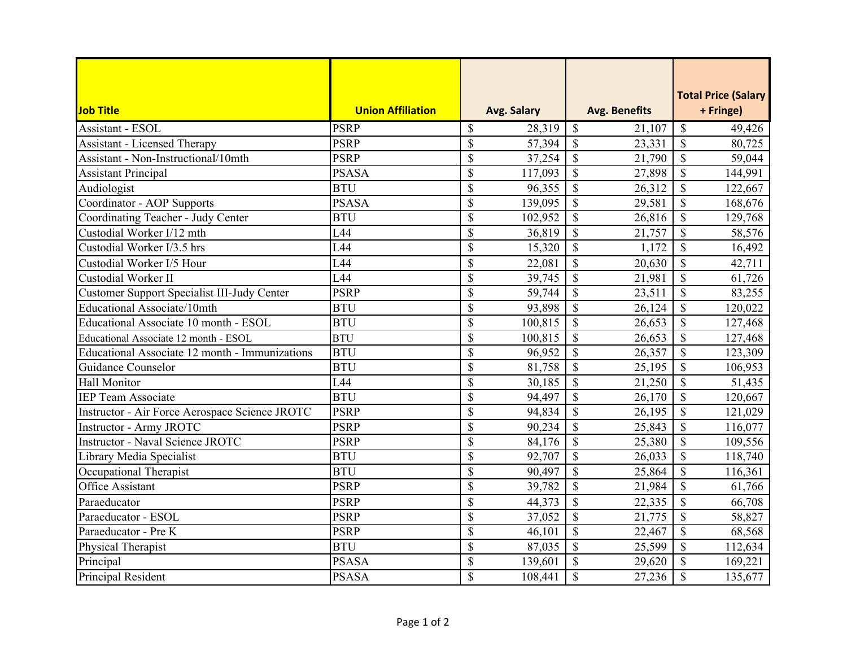| Job Title                                      | <b>Union Affiliation</b> |                           | Avg. Salary |                           | <b>Avg. Benefits</b> |                          | <b>Total Price (Salary</b><br>+ Fringe) |
|------------------------------------------------|--------------------------|---------------------------|-------------|---------------------------|----------------------|--------------------------|-----------------------------------------|
| Assistant - ESOL                               | <b>PSRP</b>              | \$                        | 28,319      | $\boldsymbol{\mathsf{S}}$ | 21,107               | $\mathcal{S}$            | 49,426                                  |
| <b>Assistant - Licensed Therapy</b>            | <b>PSRP</b>              | $\mathcal{S}$             | 57,394      | $\mathcal{S}$             | 23,331               | $\mathcal{S}$            | 80,725                                  |
| Assistant - Non-Instructional/10mth            | <b>PSRP</b>              | $\boldsymbol{\mathsf{S}}$ | 37,254      | $\mathcal{S}$             | 21,790               | $\mathbf S$              | 59,044                                  |
| <b>Assistant Principal</b>                     | <b>PSASA</b>             | $\mathcal{S}$             | 117,093     | $\mathcal{S}$             | 27,898               | $\mathsf{\$}$            | 144,991                                 |
| Audiologist                                    | <b>BTU</b>               | $\overline{\mathcal{S}}$  | 96,355      | $\mathcal{S}$             | 26,312               | $\mathcal{S}$            | 122,667                                 |
| Coordinator - AOP Supports                     | <b>PSASA</b>             | $\mathcal{S}$             | 139,095     | $\mathcal{S}$             | 29,581               | $\mathbf S$              | 168,676                                 |
| Coordinating Teacher - Judy Center             | <b>BTU</b>               | $\overline{\mathcal{S}}$  | 102,952     | $\overline{\mathcal{S}}$  | 26,816               | $\overline{\mathcal{S}}$ | 129,768                                 |
| Custodial Worker I/12 mth                      | L44                      | $\mathcal{S}$             | 36,819      | $\mathcal{S}$             | 21,757               | \$                       | 58,576                                  |
| Custodial Worker I/3.5 hrs                     | L44                      | $\boldsymbol{\mathsf{S}}$ | 15,320      | $\mathcal{S}$             | 1,172                | $\mathbf S$              | 16,492                                  |
| Custodial Worker I/5 Hour                      | L44                      | $\boldsymbol{\mathsf{S}}$ | 22,081      | $\mathcal{S}$             | 20,630               | $\mathbb{S}$             | 42,711                                  |
| Custodial Worker II                            | L44                      | $\boldsymbol{\mathsf{S}}$ | 39,745      | $\mathcal{S}$             | 21,981               | $\mathbf S$              | 61,726                                  |
| Customer Support Specialist III-Judy Center    | <b>PSRP</b>              | $\boldsymbol{\mathsf{S}}$ | 59,744      | $\mathcal{S}$             | 23,511               | \$                       | 83,255                                  |
| Educational Associate/10mth                    | <b>BTU</b>               | $\boldsymbol{\mathsf{S}}$ | 93,898      | $\mathcal{S}$             | 26,124               | $\mathcal{S}$            | 120,022                                 |
| Educational Associate 10 month - ESOL          | <b>BTU</b>               | $\mathbb{S}$              | 100,815     | $\mathcal{S}$             | 26,653               | $\mathbf S$              | 127,468                                 |
| Educational Associate 12 month - ESOL          | <b>BTU</b>               | $\overline{\mathcal{S}}$  | 100,815     | $\overline{\mathcal{S}}$  | 26,653               | \$                       | 127,468                                 |
| Educational Associate 12 month - Immunizations | <b>BTU</b>               | $\boldsymbol{\mathsf{S}}$ | 96,952      | $\mathcal{S}$             | 26,357               | \$                       | 123,309                                 |
| Guidance Counselor                             | <b>BTU</b>               | $\boldsymbol{\mathsf{S}}$ | 81,758      | $\mathcal{S}$             | 25,195               | $\mathbf S$              | 106,953                                 |
| Hall Monitor                                   | L44                      | $\boldsymbol{\mathsf{S}}$ | 30,185      | $\mathcal{S}$             | 21,250               | $\mathbf{\hat{S}}$       | 51,435                                  |
| <b>IEP Team Associate</b>                      | <b>BTU</b>               | $\mathcal{S}$             | 94,497      | $\mathcal{S}$             | 26,170               | $\mathbb{S}$             | 120,667                                 |
| Instructor - Air Force Aerospace Science JROTC | <b>PSRP</b>              | $\boldsymbol{\mathsf{S}}$ | 94,834      | $\mathcal{S}$             | 26,195               | $\mathbf S$              | 121,029                                 |
| <b>Instructor - Army JROTC</b>                 | <b>PSRP</b>              | $\boldsymbol{\mathsf{S}}$ | 90,234      | $\mathcal{S}$             | 25,843               | $\mathsf{\$}$            | 116,077                                 |
| Instructor - Naval Science JROTC               | <b>PSRP</b>              | $\mathcal{S}$             | 84,176      | $\mathcal{S}$             | 25,380               | $\mathcal{S}$            | 109,556                                 |
| Library Media Specialist                       | <b>BTU</b>               | \$                        | 92,707      | $\mathcal{S}$             | 26,033               | $\mathbf S$              | 118,740                                 |
| Occupational Therapist                         | <b>BTU</b>               | $\mathcal{S}$             | 90,497      | $\overline{\mathcal{S}}$  | 25,864               | \$                       | 116,361                                 |
| <b>Office Assistant</b>                        | <b>PSRP</b>              | $\mathcal{S}$             | 39,782      | $\mathcal{S}$             | 21,984               | \$                       | 61,766                                  |
| Paraeducator                                   | <b>PSRP</b>              | $\boldsymbol{\mathsf{S}}$ | 44,373      | $\boldsymbol{\mathsf{S}}$ | 22,335               | $\mathcal{S}$            | 66,708                                  |
| Paraeducator - ESOL                            | <b>PSRP</b>              | $\mathcal{S}$             | 37,052      | $\mathcal{S}$             | 21,775               | $\mathbb{S}$             | 58,827                                  |
| Paraeducator - Pre K                           | <b>PSRP</b>              | $\boldsymbol{\mathsf{S}}$ | 46,101      | $\mathcal{S}$             | 22,467               | $\mathcal{S}$            | 68,568                                  |
| Physical Therapist                             | <b>BTU</b>               | $\mathcal{S}$             | 87,035      | $\mathcal{S}$             | 25,599               | $\mathcal{S}$            | 112,634                                 |
| Principal                                      | <b>PSASA</b>             | $\boldsymbol{\mathsf{S}}$ | 139,601     | $\mathcal{S}$             | 29,620               | $\mathbf S$              | 169,221                                 |
| Principal Resident                             | <b>PSASA</b>             | \$                        | 108,441     | $\mathcal{S}$             | 27,236               | \$                       | 135,677                                 |